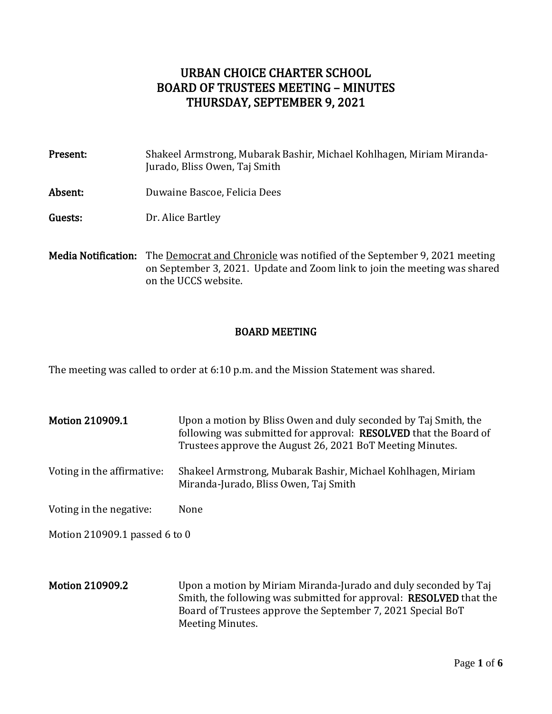# URBAN CHOICE CHARTER SCHOOL BOARD OF TRUSTEES MEETING – MINUTES THURSDAY, SEPTEMBER 9, 2021

| Present: | Shakeel Armstrong, Mubarak Bashir, Michael Kohlhagen, Miriam Miranda-<br>Jurado, Bliss Owen, Taj Smith |
|----------|--------------------------------------------------------------------------------------------------------|
| Absent:  | Duwaine Bascoe, Felicia Dees                                                                           |
| Guests:  | Dr. Alice Bartley                                                                                      |
|          | <b>Media Notification:</b> The Democrat and Chronicle was notified of the Sentember 9, 2021 meeting    |

<u>nocrat and Chronicle</u> was notified of the September 9, 2021 meeting on September 3, 2021. Update and Zoom link to join the meeting was shared on the UCCS website.

# BOARD MEETING

The meeting was called to order at 6:10 p.m. and the Mission Statement was shared.

- Motion 210909.1 Upon a motion by Bliss Owen and duly seconded by Taj Smith, the following was submitted for approval: RESOLVED that the Board of Trustees approve the August 26, 2021 BoT Meeting Minutes. Voting in the affirmative: Shakeel Armstrong, Mubarak Bashir, Michael Kohlhagen, Miriam Miranda-Jurado, Bliss Owen, Taj Smith Voting in the negative: None Motion 210909.1 passed 6 to 0
- Motion 210909.2 Upon a motion by Miriam Miranda-Jurado and duly seconded by Taj Smith, the following was submitted for approval: RESOLVED that the Board of Trustees approve the September 7, 2021 Special BoT Meeting Minutes.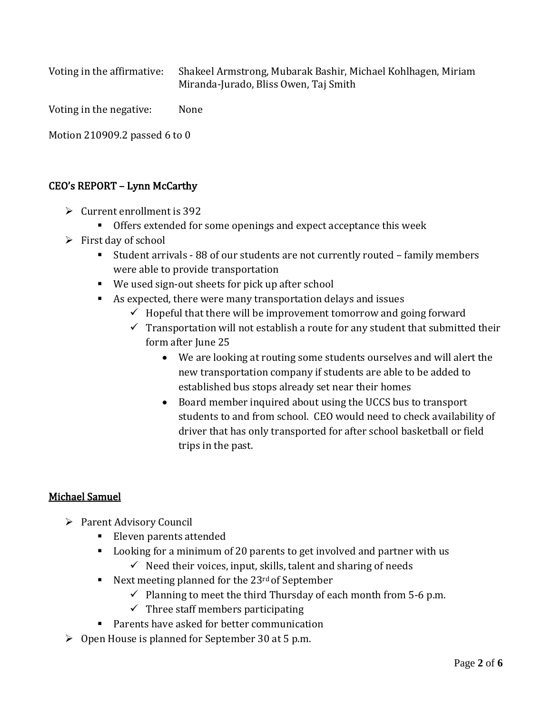Voting in the affirmative: Shakeel Armstrong, Mubarak Bashir, Michael Kohlhagen, Miriam Miranda-Jurado, Bliss Owen, Taj Smith

Voting in the negative: None

Motion 210909.2 passed 6 to 0

# CEO's REPORT – Lynn McCarthy

- $\triangleright$  Current enrollment is 392
	- Offers extended for some openings and expect acceptance this week
- $\triangleright$  First day of school
	- Student arrivals 88 of our students are not currently routed family members were able to provide transportation
	- We used sign-out sheets for pick up after school
	- As expected, there were many transportation delays and issues
		- $\checkmark$  Hopeful that there will be improvement tomorrow and going forward
		- $\checkmark$  Transportation will not establish a route for any student that submitted their form after June 25
			- We are looking at routing some students ourselves and will alert the new transportation company if students are able to be added to established bus stops already set near their homes
			- Board member inquired about using the UCCS bus to transport students to and from school. CEO would need to check availability of driver that has only transported for after school basketball or field trips in the past.

# Michael Samuel

- ➢ Parent Advisory Council
	- Eleven parents attended
	- Looking for a minimum of 20 parents to get involved and partner with us
		- $\checkmark$  Need their voices, input, skills, talent and sharing of needs
	- Next meeting planned for the 23<sup>rd</sup> of September
		- $\checkmark$  Planning to meet the third Thursday of each month from 5-6 p.m.
		- $\checkmark$  Three staff members participating
	- Parents have asked for better communication
- ➢ Open House is planned for September 30 at 5 p.m.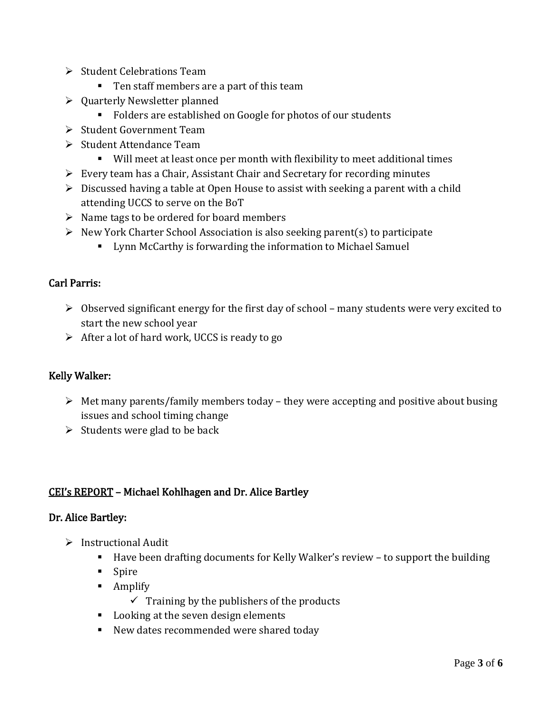- ➢ Student Celebrations Team
	- Ten staff members are a part of this team
- ➢ Quarterly Newsletter planned
	- Folders are established on Google for photos of our students
- ➢ Student Government Team
- ➢ Student Attendance Team
	- Will meet at least once per month with flexibility to meet additional times
- ➢ Every team has a Chair, Assistant Chair and Secretary for recording minutes
- $\triangleright$  Discussed having a table at Open House to assist with seeking a parent with a child attending UCCS to serve on the BoT
- $\triangleright$  Name tags to be ordered for board members
- ➢ New York Charter School Association is also seeking parent(s) to participate
	- Lynn McCarthy is forwarding the information to Michael Samuel

# Carl Parris:

- ➢ Observed significant energy for the first day of school many students were very excited to start the new school year
- $\triangleright$  After a lot of hard work, UCCS is ready to go

# Kelly Walker:

- $\triangleright$  Met many parents/family members today they were accepting and positive about busing issues and school timing change
- $\triangleright$  Students were glad to be back

# CEI's REPORT – Michael Kohlhagen and Dr. Alice Bartley

#### Dr. Alice Bartley:

- ➢ Instructional Audit
	- Have been drafting documents for Kelly Walker's review to support the building
	- Spire
	- Amplify
		- $\checkmark$  Training by the publishers of the products
	- Looking at the seven design elements
	- New dates recommended were shared today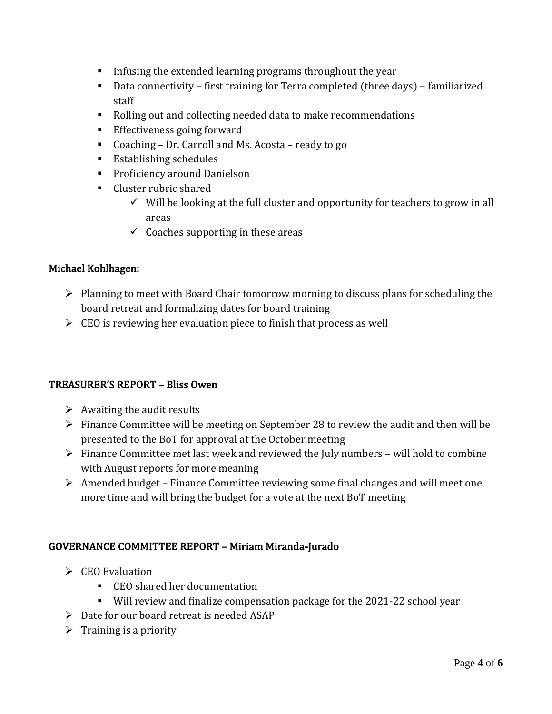- **•** Infusing the extended learning programs throughout the year
- Data connectivity first training for Terra completed (three days) familiarized staff
- Rolling out and collecting needed data to make recommendations
- Effectiveness going forward
- Coaching Dr. Carroll and Ms. Acosta ready to go
- Establishing schedules
- Proficiency around Danielson
- Cluster rubric shared
	- $\checkmark$  Will be looking at the full cluster and opportunity for teachers to grow in all areas
	- $\checkmark$  Coaches supporting in these areas

# Michael Kohlhagen:

- ➢ Planning to meet with Board Chair tomorrow morning to discuss plans for scheduling the board retreat and formalizing dates for board training
- $\triangleright$  CEO is reviewing her evaluation piece to finish that process as well

# TREASURER'S REPORT – Bliss Owen

- $\triangleright$  Awaiting the audit results
- $\triangleright$  Finance Committee will be meeting on September 28 to review the audit and then will be presented to the BoT for approval at the October meeting
- $\triangleright$  Finance Committee met last week and reviewed the July numbers will hold to combine with August reports for more meaning
- ➢ Amended budget Finance Committee reviewing some final changes and will meet one more time and will bring the budget for a vote at the next BoT meeting

# GOVERNANCE COMMITTEE REPORT – Miriam Miranda-Jurado

- ➢ CEO Evaluation
	- CEO shared her documentation
	- Will review and finalize compensation package for the 2021-22 school year
- ➢ Date for our board retreat is needed ASAP
- $\triangleright$  Training is a priority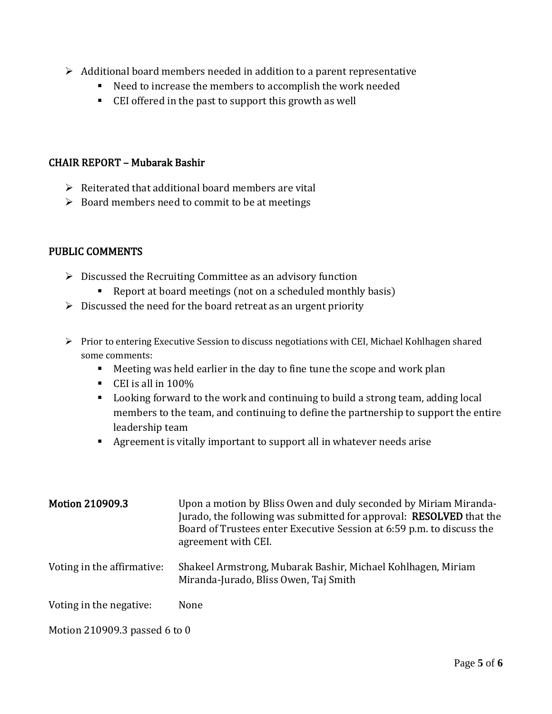- $\triangleright$  Additional board members needed in addition to a parent representative
	- Need to increase the members to accomplish the work needed
	- CEI offered in the past to support this growth as well

# CHAIR REPORT – Mubarak Bashir

- $\triangleright$  Reiterated that additional board members are vital
- $\triangleright$  Board members need to commit to be at meetings

# PUBLIC COMMENTS

- $\triangleright$  Discussed the Recruiting Committee as an advisory function
	- Report at board meetings (not on a scheduled monthly basis)
- $\triangleright$  Discussed the need for the board retreat as an urgent priority
- ➢ Prior to entering Executive Session to discuss negotiations with CEI, Michael Kohlhagen shared some comments:
	- Meeting was held earlier in the day to fine tune the scope and work plan
	- $\blacksquare$  CEI is all in 100%
	- Looking forward to the work and continuing to build a strong team, adding local members to the team, and continuing to define the partnership to support the entire leadership team
	- Agreement is vitally important to support all in whatever needs arise

| <b>Motion 210909.3</b>        | Upon a motion by Bliss Owen and duly seconded by Miriam Miranda-<br>Jurado, the following was submitted for approval: RESOLVED that the<br>Board of Trustees enter Executive Session at 6:59 p.m. to discuss the<br>agreement with CEI. |
|-------------------------------|-----------------------------------------------------------------------------------------------------------------------------------------------------------------------------------------------------------------------------------------|
| Voting in the affirmative:    | Shakeel Armstrong, Mubarak Bashir, Michael Kohlhagen, Miriam<br>Miranda-Jurado, Bliss Owen, Taj Smith                                                                                                                                   |
| Voting in the negative:       | None                                                                                                                                                                                                                                    |
| Motion 210909.3 passed 6 to 0 |                                                                                                                                                                                                                                         |